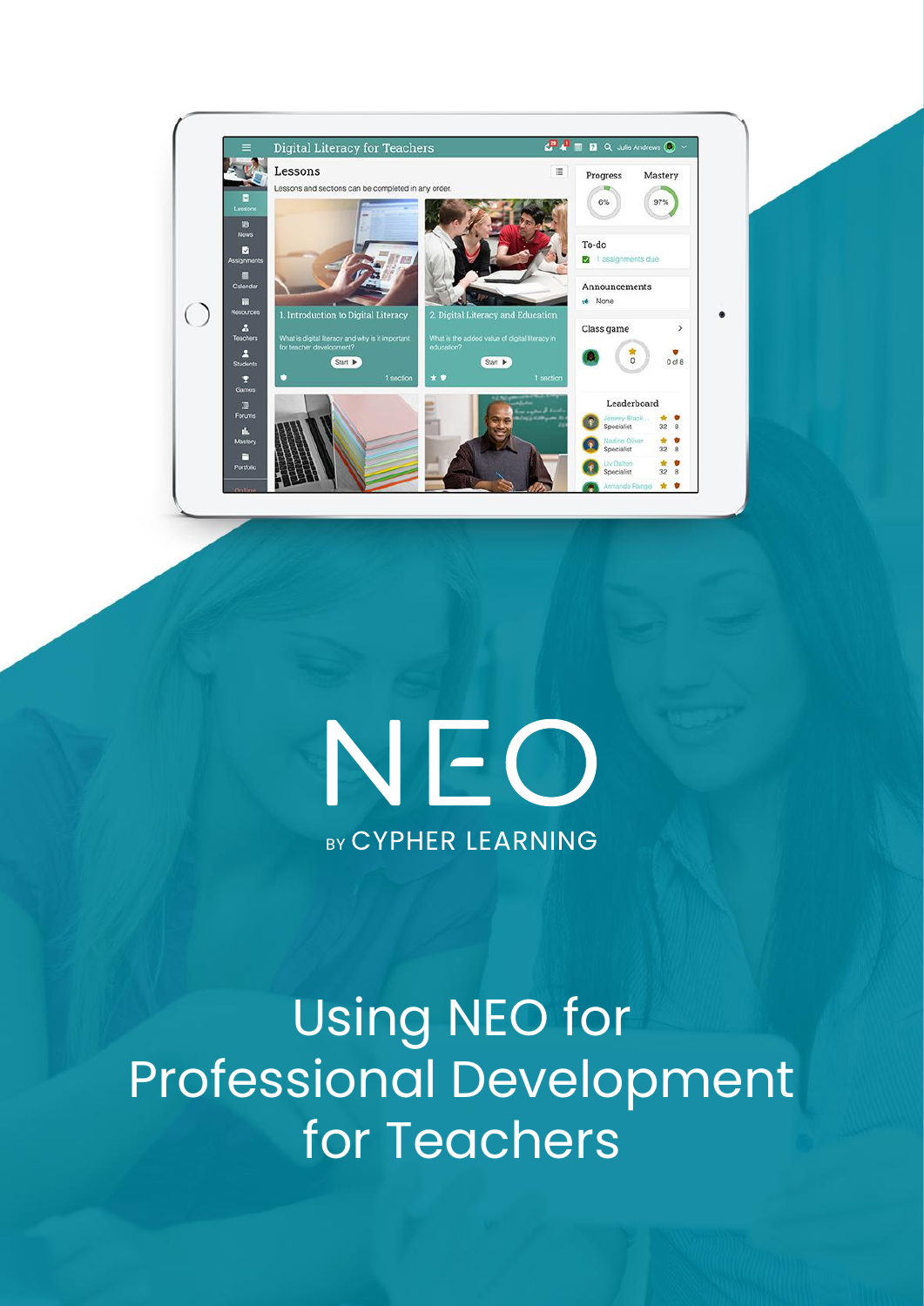

# NEO **BY CYPHER LEARNING**

Using NEO for Professional Development for Teachers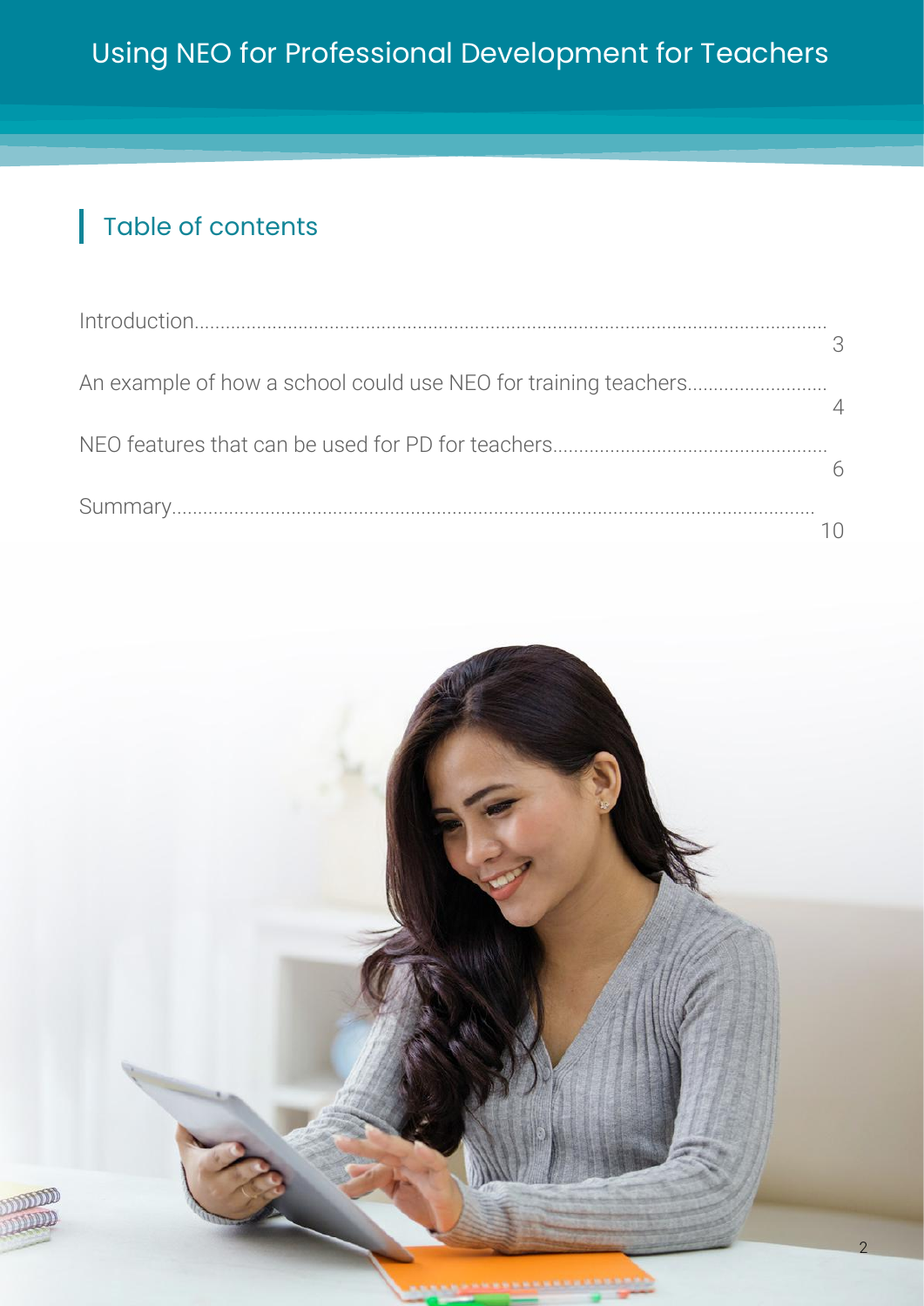#### Table of contents

| 3 |
|---|
|   |
|   |
|   |
|   |
|   |
|   |

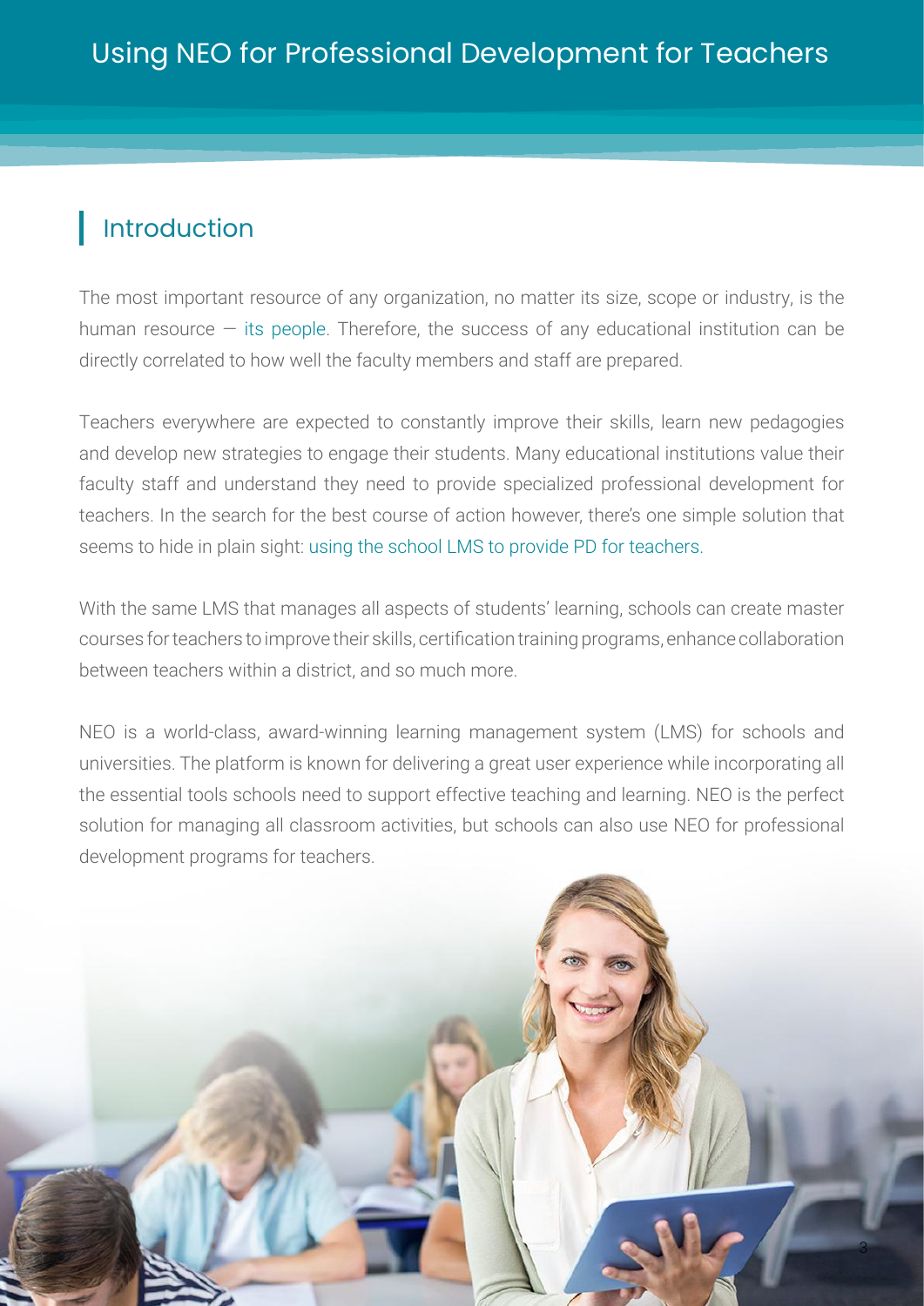## <span id="page-2-0"></span>Introduction

The most important resource of any organization, no matter its size, scope or industry, is the human resource  $-$  its people. Therefore, the success of any educational institution can be directly correlated to how well the faculty members and staff are prepared.

Teachers everywhere are expected to constantly improve their skills, learn new pedagogies and develop new strategies to engage their students. Many educational institutions value their faculty staff and understand they need to provide specialized professional development for teachers. In the search for the best course of action however, there's one simple solution that seems to hide in plain sight: using the school LMS to provide PD for teachers.

With the same LMS that manages all aspects of students' learning, schools can create master courses for teachers to improve their skills, certification training programs, enhance collaboration between teachers within a district, and so much more.

NEO is a world-class, award-winning learning management system (LMS) for schools and universities. The platform is known for delivering a great user experience while incorporating all the essential tools schools need to support effective teaching and learning. NEO is the perfect solution for managing all classroom activities, but schools can also use NEO for professional development programs for teachers.

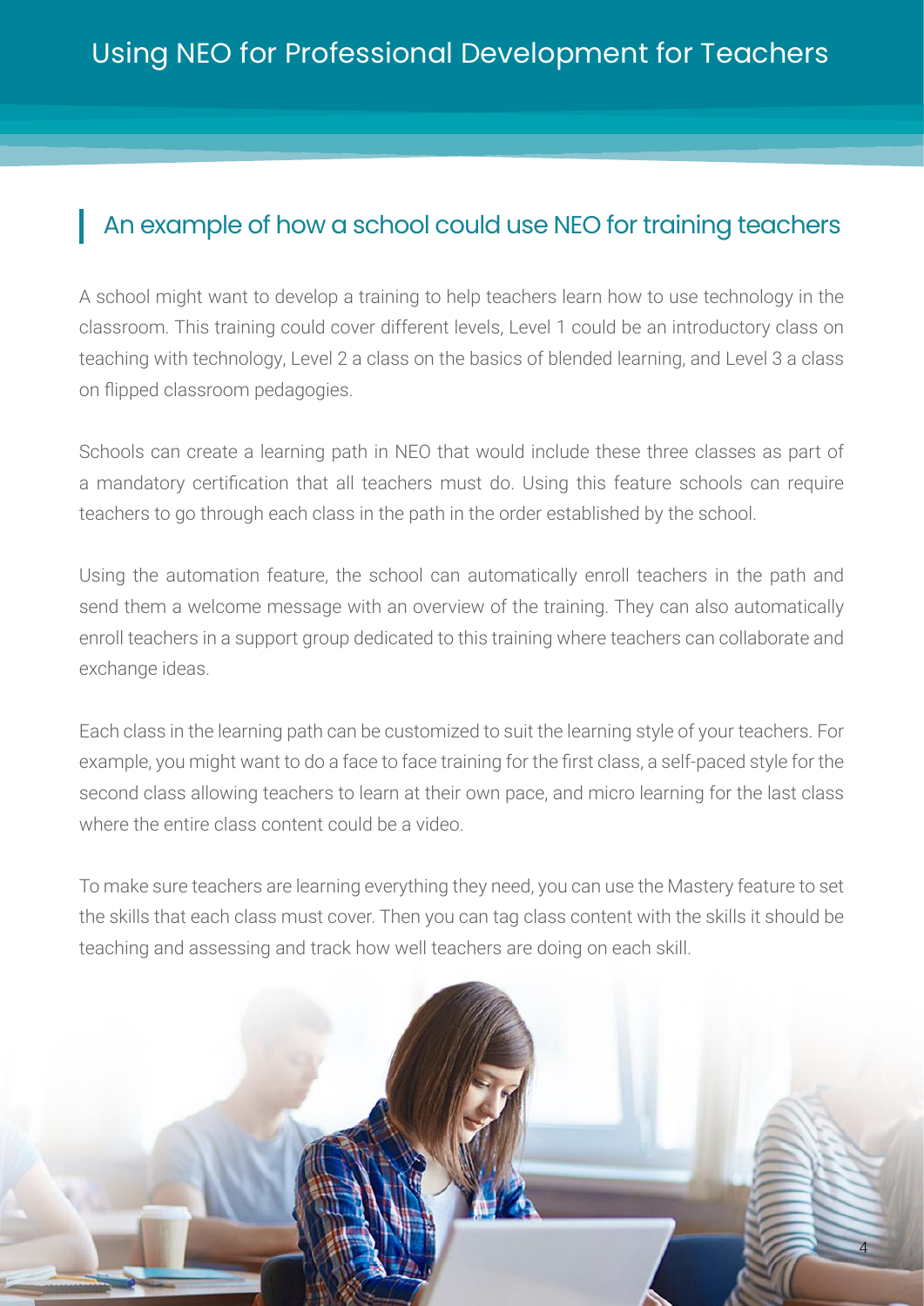## <span id="page-3-0"></span>An example of how a school could use NEO for training teachers

A school might want to develop a training to help teachers learn how to use technology in the classroom. This training could cover different levels, Level 1 could be an introductory class on teaching with technology, Level 2 a class on the basics of blended learning, and Level 3 a class on flipped classroom pedagogies.

Schools can create a learning path in NEO that would include these three classes as part of a mandatory certification that all teachers must do. Using this feature schools can require teachers to go through each class in the path in the order established by the school.

Using the automation feature, the school can automatically enroll teachers in the path and send them a welcome message with an overview of the training. They can also automatically enroll teachers in a support group dedicated to this training where teachers can collaborate and exchange ideas.

Each class in the learning path can be customized to suit the learning style of your teachers. For example, you might want to do a face to face training for the first class, a self-paced style for the second class allowing teachers to learn at their own pace, and micro learning for the last class where the entire class content could be a video.

To make sure teachers are learning everything they need, you can use the Mastery feature to set the skills that each class must cover. Then you can tag class content with the skills it should be teaching and assessing and track how well teachers are doing on each skill.

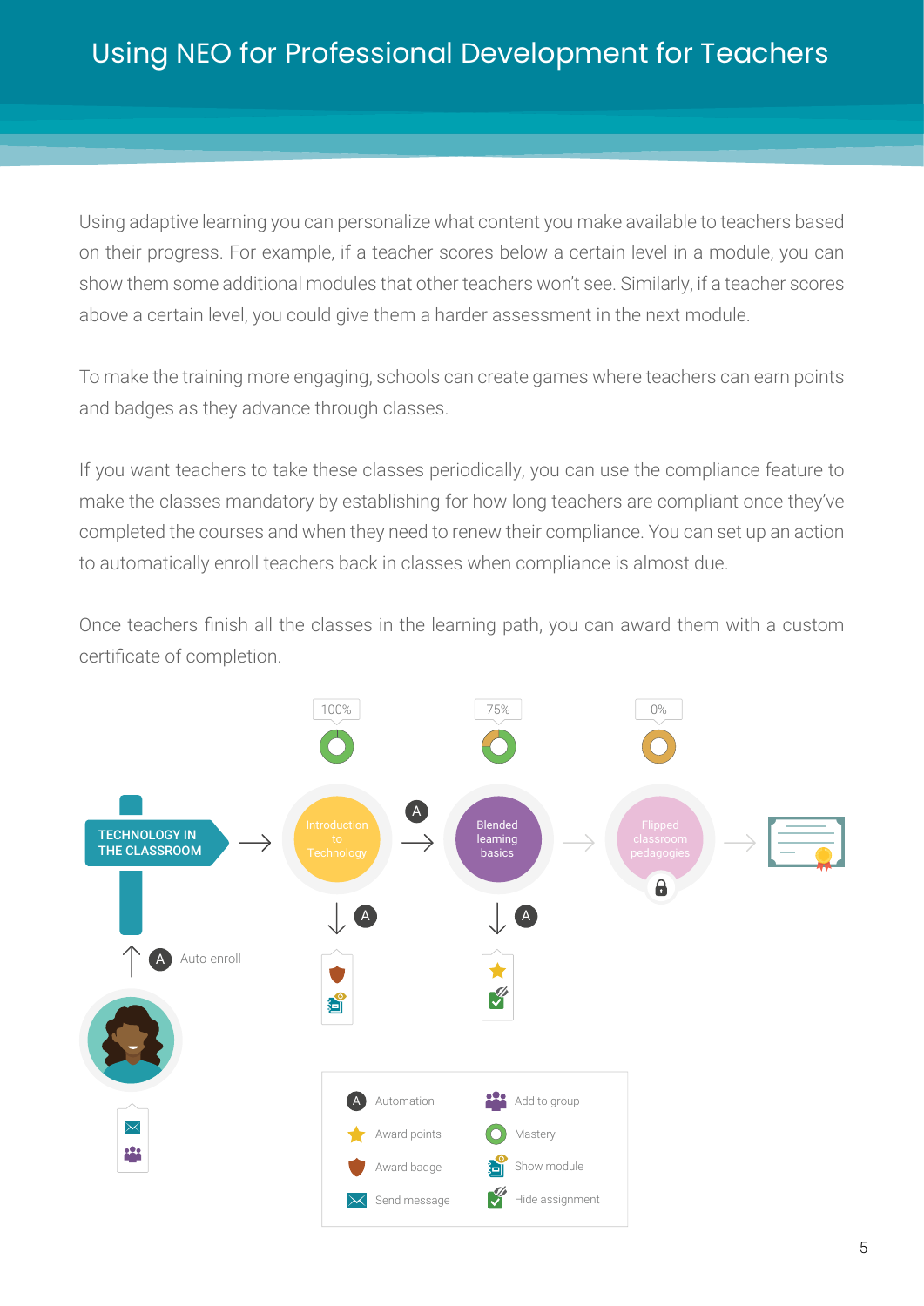Using adaptive learning you can personalize what content you make available to teachers based on their progress. For example, if a teacher scores below a certain level in a module, you can show them some additional modules that other teachers won't see. Similarly, if a teacher scores above a certain level, you could give them a harder assessment in the next module.

To make the training more engaging, schools can create games where teachers can earn points and badges as they advance through classes.

If you want teachers to take these classes periodically, you can use the compliance feature to make the classes mandatory by establishing for how long teachers are compliant once they've completed the courses and when they need to renew their compliance. You can set up an action to automatically enroll teachers back in classes when compliance is almost due.

Once teachers finish all the classes in the learning path, you can award them with a custom certificate of completion.

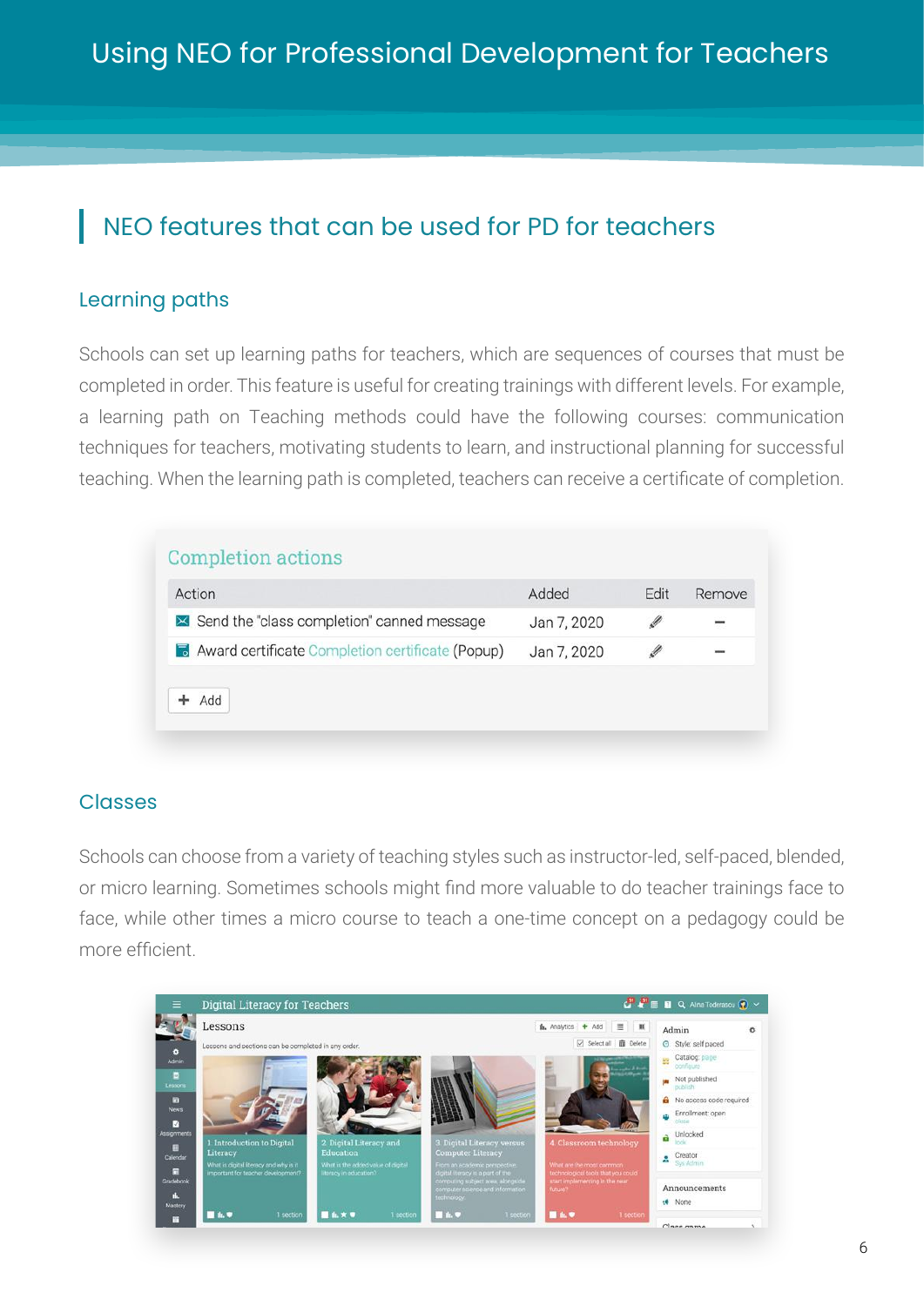## <span id="page-5-0"></span>NEO features that can be used for PD for teachers

#### Learning paths

Schools can set up learning paths for teachers, which are sequences of courses that must be completed in order. This feature is useful for creating trainings with different levels. For example, a learning path on Teaching methods could have the following courses: communication techniques for teachers, motivating students to learn, and instructional planning for successful teaching. When the learning path is completed, teachers can receive a certificate of completion.

| Action                                           | Added       | <b>Fdit</b> | Remove |
|--------------------------------------------------|-------------|-------------|--------|
| × Send the "class completion" canned message     | Jan 7, 2020 |             | ÷      |
| Award certificate Completion certificate (Popup) | Jan 7, 2020 |             |        |

#### **Classes**

Schools can choose from a variety of teaching styles such as instructor-led, self-paced, blended, or micro learning. Sometimes schools might find more valuable to do teacher trainings face to face, while other times a micro course to teach a one-time concept on a pedagogy could be more efficient.

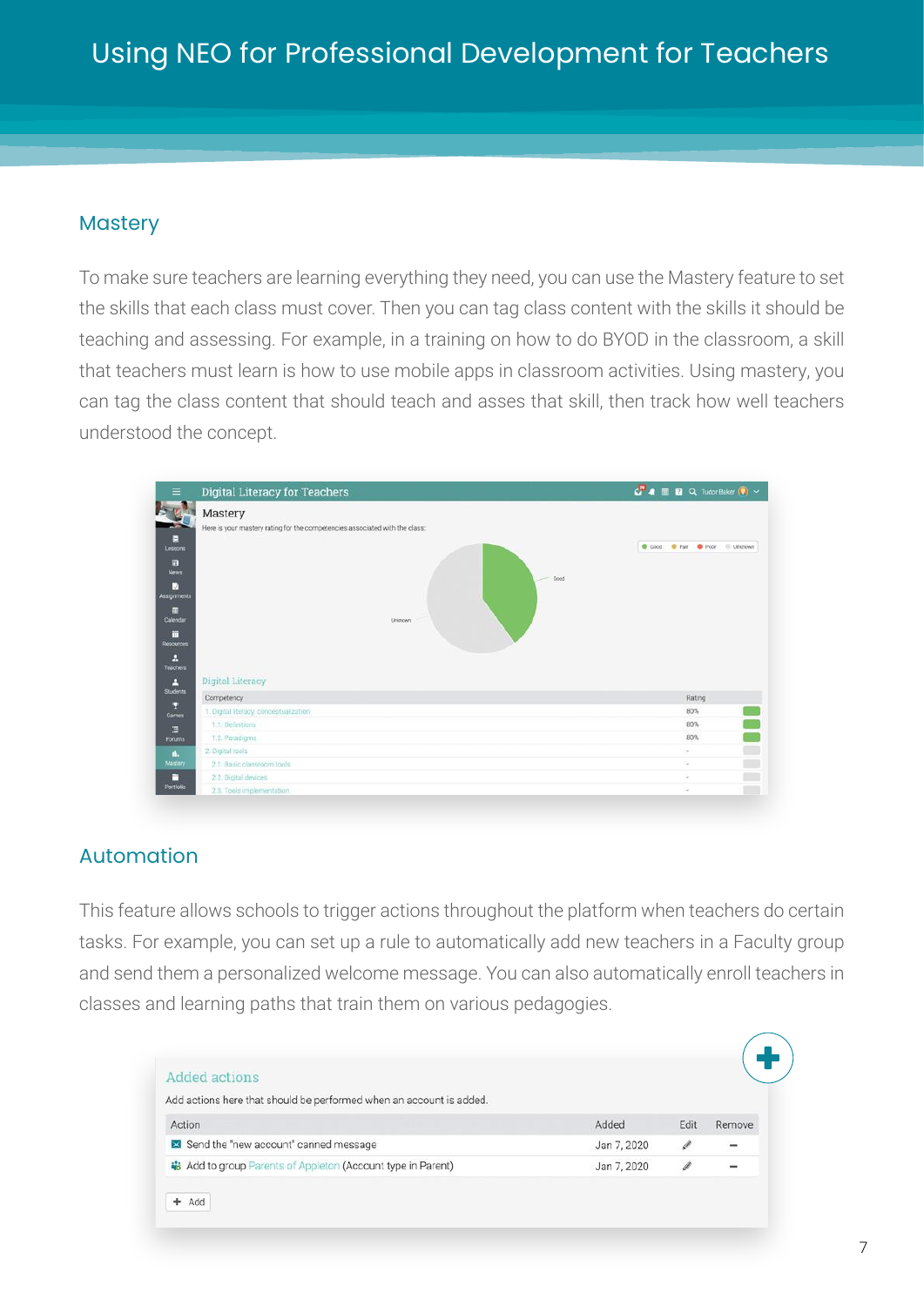#### **Mastery**

To make sure teachers are learning everything they need, you can use the Mastery feature to set the skills that each class must cover. Then you can tag class content with the skills it should be teaching and assessing. For example, in a training on how to do BYOD in the classroom, a skill that teachers must learn is how to use mobile apps in classroom activities. Using mastery, you can tag the class content that should teach and asses that skill, then track how well teachers understood the concept.

| Ξ                       | <b>Digital Literacy for Teachers</b>                                        | $\frac{1}{\sqrt{2}}$ <b>a</b> $\blacksquare$ <b>B</b> Q Tudor Baker $\blacksquare$ $\vee$ |
|-------------------------|-----------------------------------------------------------------------------|-------------------------------------------------------------------------------------------|
| 陸                       | <b>D</b> <sup>9</sup> Mastery                                               |                                                                                           |
|                         | Here is your mastery rating for the competencies associated with the class: |                                                                                           |
| Ξ                       |                                                                             | Cood: C Fair C Poor @ Unknown                                                             |
| Lessons                 |                                                                             |                                                                                           |
| m<br>News               |                                                                             |                                                                                           |
| ₽<br><b>Assignments</b> | Good<br>$\tilde{\phantom{a}}$                                               |                                                                                           |
| 田<br>Calendar           | Unknown                                                                     |                                                                                           |
| m<br>Resources          |                                                                             |                                                                                           |
| д<br>Teachers           |                                                                             |                                                                                           |
| д                       | Digital Literacy                                                            |                                                                                           |
| Students                | Competency                                                                  | Rating                                                                                    |
| п<br>Games              | 1. Digital literacy: conceptualization                                      | 80%                                                                                       |
| 潭                       | 1.1. Definitions                                                            | 80%                                                                                       |
| Forums                  | 1.2. Paradigms                                                              | 80%                                                                                       |
| А.                      | 2. Digital tools                                                            | m a<br>$\sim$                                                                             |
|                         |                                                                             |                                                                                           |
| Mastery                 | 2.1 Basic classroom tools                                                   | $\sim$                                                                                    |
| п<br>Portfolio          | 2.2. Digital devices                                                        | m i<br>٠                                                                                  |

#### Automation

This feature allows schools to trigger actions throughout the platform when teachers do certain tasks. For example, you can set up a rule to automatically add new teachers in a Faculty group and send them a personalized welcome message. You can also automatically enroll teachers in classes and learning paths that train them on various pedagogies.

| Added actions                                                          |             |      |                          |
|------------------------------------------------------------------------|-------------|------|--------------------------|
| Add actions here that should be performed when an account is added.    |             |      |                          |
| Action                                                                 | Added       | Edit | Remove                   |
| Send the "new account" canned message                                  | Jan 7, 2020 | Ø    | $\overline{\phantom{0}}$ |
| <b>&amp; Add to group Parents of Appleton (Account type in Parent)</b> | Jan 7, 2020 |      | $\cdots$                 |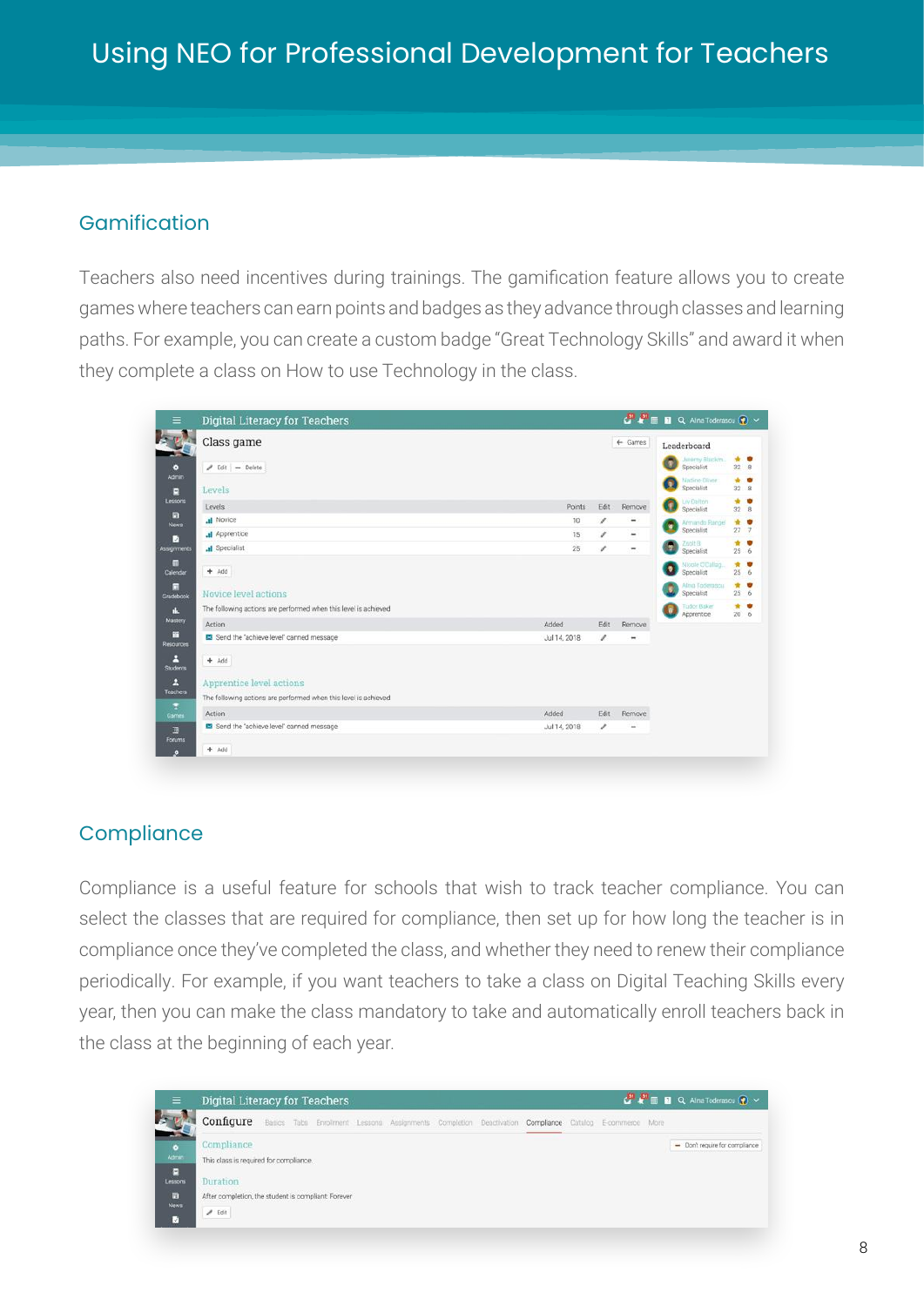#### Gamification

Teachers also need incentives during trainings. The gamification feature allows you to create games where teachers can earn points and badges as they advance through classes and learning paths. For example, you can create a custom badge "Great Technology Skills" and award it when they complete a class on How to use Technology in the class.

|                        | Class game                                                      |              |      | $\leftarrow$ Games |   | Leaderboard                      |                     |
|------------------------|-----------------------------------------------------------------|--------------|------|--------------------|---|----------------------------------|---------------------|
| n.<br>$\bullet$        | $angle$ Edit = Delete                                           |              |      |                    |   | Jetemy Blackm.<br>Specialist     | * *<br>$32 \quad 8$ |
| <b>Admin</b><br>Θ      | Levels                                                          |              |      |                    |   | Nadine-Diver<br>Specialist       | * *<br>32.8         |
| Lessons                | Levels                                                          | Points       | Edit | Remove             | Ω | Liv Dalton<br>Specialist         | $*$ $*$<br>32B      |
| п<br><b>News</b>       | <b>Il</b> Novice                                                | 10           | ∕    | -                  |   | Armando Rangel                   | * *                 |
| п                      | .d Apprentice                                                   | 15           | ,    | ۰                  |   | Specialist                       | 277                 |
| Assignments            | .I Specialist                                                   | 25           | v    | $\sim$             | m | Znolt B<br>Specialist            | $+ 9$<br>256        |
| <b>STE</b><br>Calendar | $+$ Add                                                         |              |      |                    |   | Nicole O'Callag.<br>Specialist   | $\star$ .<br>256    |
| 同<br>Gradebook         | Novice level actions                                            |              |      |                    |   | Alma Toderascu<br>Specialist     | $*$ $*$<br>256      |
| d.                     | The following actions are performed when this level is achieved |              |      |                    |   | <b>Tudor Baker</b><br>Apprentice | $*$ $*$<br>206      |
| <b>Müstery</b>         | Action                                                          | Added        | Edit | Remove             |   |                                  |                     |
| m<br><b>Resources</b>  | Send the 'achieve level' canned message                         | Jul 14, 2018 | ,    | ÷                  |   |                                  |                     |
| в<br><b>Students</b>   | $+$ Add                                                         |              |      |                    |   |                                  |                     |
| л                      | Apprentice level actions                                        |              |      |                    |   |                                  |                     |
| <b>Teachers</b>        | The following actions are performed when this level is achieved |              |      |                    |   |                                  |                     |
| Ŧ<br>Games             | Action                                                          | Added        | Edit | Remove             |   |                                  |                     |
| 潭                      | Send the 'achieve level' canned message                         | Jul 14, 2018 | ,    | m                  |   |                                  |                     |

#### **Compliance**

Compliance is a useful feature for schools that wish to track teacher compliance. You can select the classes that are required for compliance, then set up for how long the teacher is in compliance once they've completed the class, and whether they need to renew their compliance periodically. For example, if you want teachers to take a class on Digital Teaching Skills every year, then you can make the class mandatory to take and automatically enroll teachers back in the class at the beginning of each year.

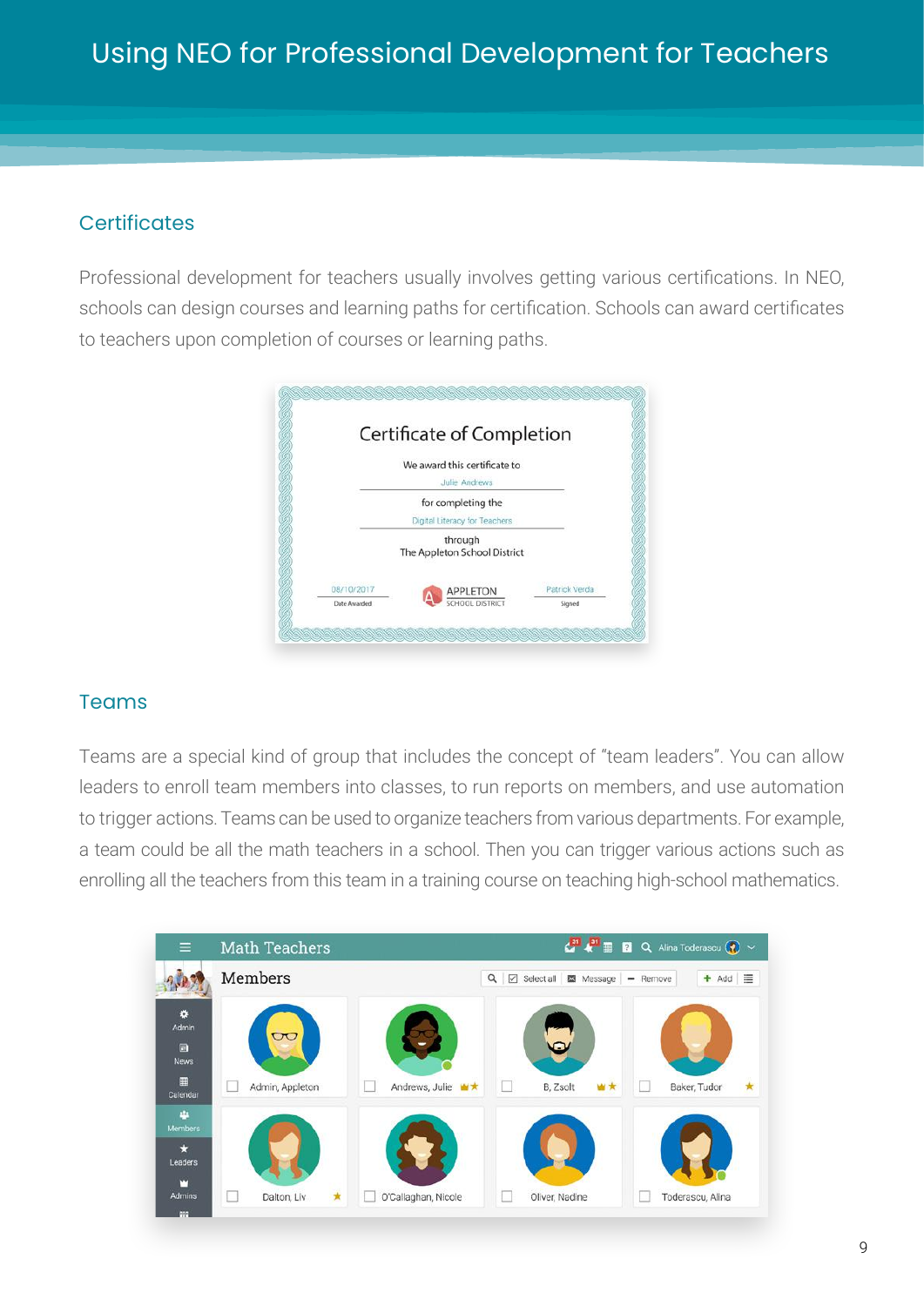#### **Certificates**

Professional development for teachers usually involves getting various certifications. In NEO, schools can design courses and learning paths for certification. Schools can award certificates to teachers upon completion of courses or learning paths.



#### Teams

Teams are a special kind of group that includes the concept of "team leaders". You can allow leaders to enroll team members into classes, to run reports on members, and use automation to trigger actions. Teams can be used to organize teachers from various departments. For example, a team could be all the math teachers in a school. Then you can trigger various actions such as enrolling all the teachers from this team in a training course on teaching high-school mathematics.